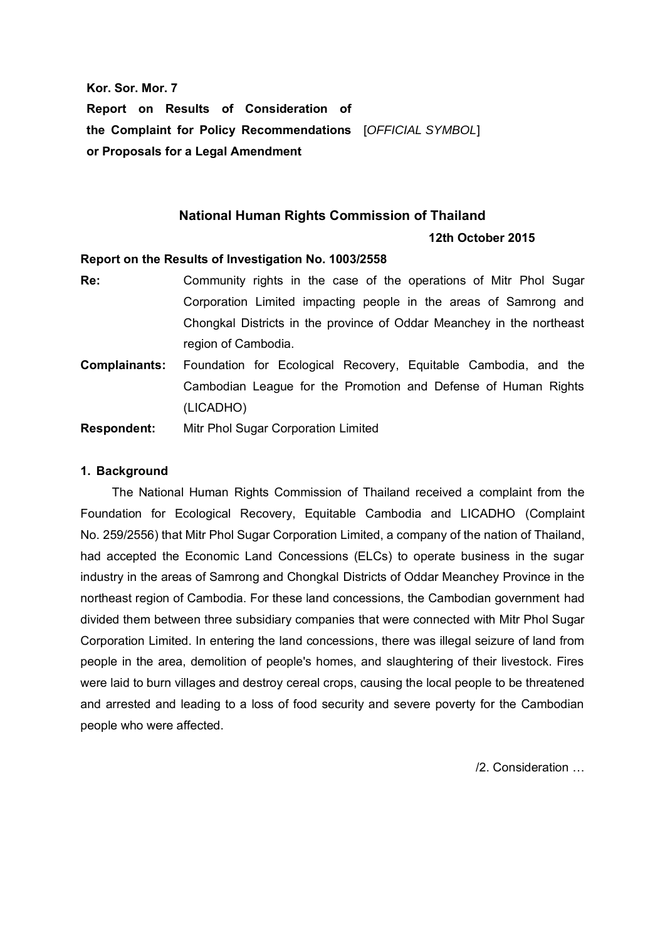**Kor. Sor. Mor. 7 Report on Results of Consideration of the Complaint for Policy Recommendations** [*OFFICIAL SYMBOL*] **or Proposals for a Legal Amendment**

# **National Human Rights Commission of Thailand**

## **12th October 2015**

## **Report on the Results of Investigation No. 1003/2558**

- **Re:** Community rights in the case of the operations of Mitr Phol Sugar Corporation Limited impacting people in the areas of Samrong and Chongkal Districts in the province of Oddar Meanchey in the northeast region of Cambodia.
- **Complainants:** Foundation for Ecological Recovery, Equitable Cambodia, and the Cambodian League for the Promotion and Defense of Human Rights (LICADHO)

**Respondent:** Mitr Phol Sugar Corporation Limited

## **1. Background**

The National Human Rights Commission of Thailand received a complaint from the Foundation for Ecological Recovery, Equitable Cambodia and LICADHO (Complaint No. 259/2556) that Mitr Phol Sugar Corporation Limited, a company of the nation of Thailand, had accepted the Economic Land Concessions (ELCs) to operate business in the sugar industry in the areas of Samrong and Chongkal Districts of Oddar Meanchey Province in the northeast region of Cambodia. For these land concessions, the Cambodian government had divided them between three subsidiary companies that were connected with Mitr Phol Sugar Corporation Limited. In entering the land concessions, there was illegal seizure of land from people in the area, demolition of people's homes, and slaughtering of their livestock. Fires were laid to burn villages and destroy cereal crops, causing the local people to be threatened and arrested and leading to a loss of food security and severe poverty for the Cambodian people who were affected.

/2. Consideration …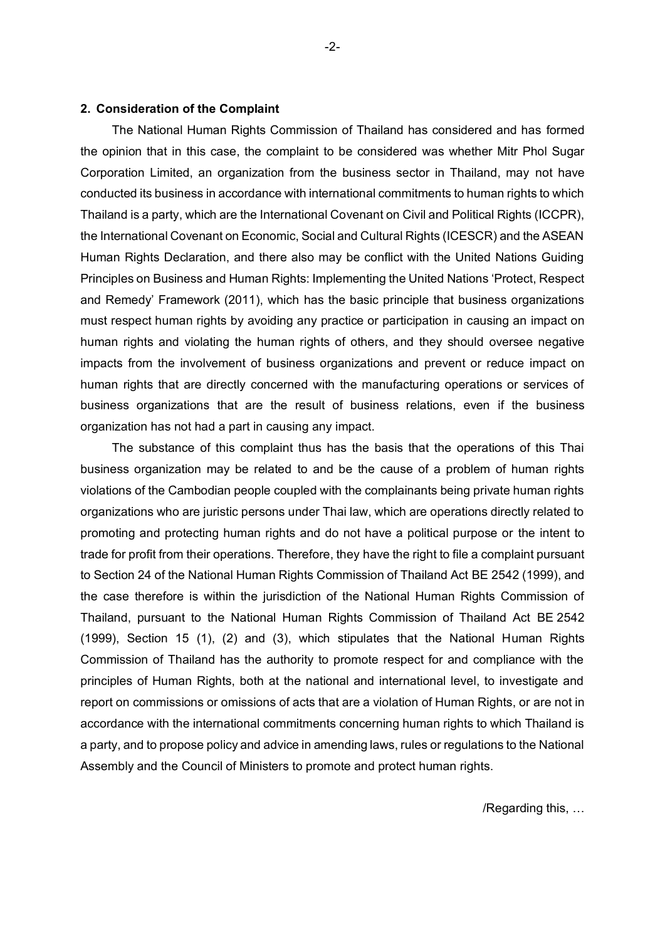#### **2. Consideration of the Complaint**

The National Human Rights Commission of Thailand has considered and has formed the opinion that in this case, the complaint to be considered was whether Mitr Phol Sugar Corporation Limited, an organization from the business sector in Thailand, may not have conducted its business in accordance with international commitments to human rights to which Thailand is a party, which are the International Covenant on Civil and Political Rights (ICCPR), the International Covenant on Economic, Social and Cultural Rights (ICESCR) and the ASEAN Human Rights Declaration, and there also may be conflict with the United Nations Guiding Principles on Business and Human Rights: Implementing the United Nations 'Protect, Respect and Remedy' Framework (2011), which has the basic principle that business organizations must respect human rights by avoiding any practice or participation in causing an impact on human rights and violating the human rights of others, and they should oversee negative impacts from the involvement of business organizations and prevent or reduce impact on human rights that are directly concerned with the manufacturing operations or services of business organizations that are the result of business relations, even if the business organization has not had a part in causing any impact.

The substance of this complaint thus has the basis that the operations of this Thai business organization may be related to and be the cause of a problem of human rights violations of the Cambodian people coupled with the complainants being private human rights organizations who are juristic persons under Thai law, which are operations directly related to promoting and protecting human rights and do not have a political purpose or the intent to trade for profit from their operations. Therefore, they have the right to file a complaint pursuant to Section 24 of the National Human Rights Commission of Thailand Act BE 2542 (1999), and the case therefore is within the jurisdiction of the National Human Rights Commission of Thailand, pursuant to the National Human Rights Commission of Thailand Act BE 2542 (1999), Section 15 (1), (2) and (3), which stipulates that the National Human Rights Commission of Thailand has the authority to promote respect for and compliance with the principles of Human Rights, both at the national and international level, to investigate and report on commissions or omissions of acts that are a violation of Human Rights, or are not in accordance with the international commitments concerning human rights to which Thailand is a party, and to propose policy and advice in amending laws, rules or regulations to the National Assembly and the Council of Ministers to promote and protect human rights.

/Regarding this, …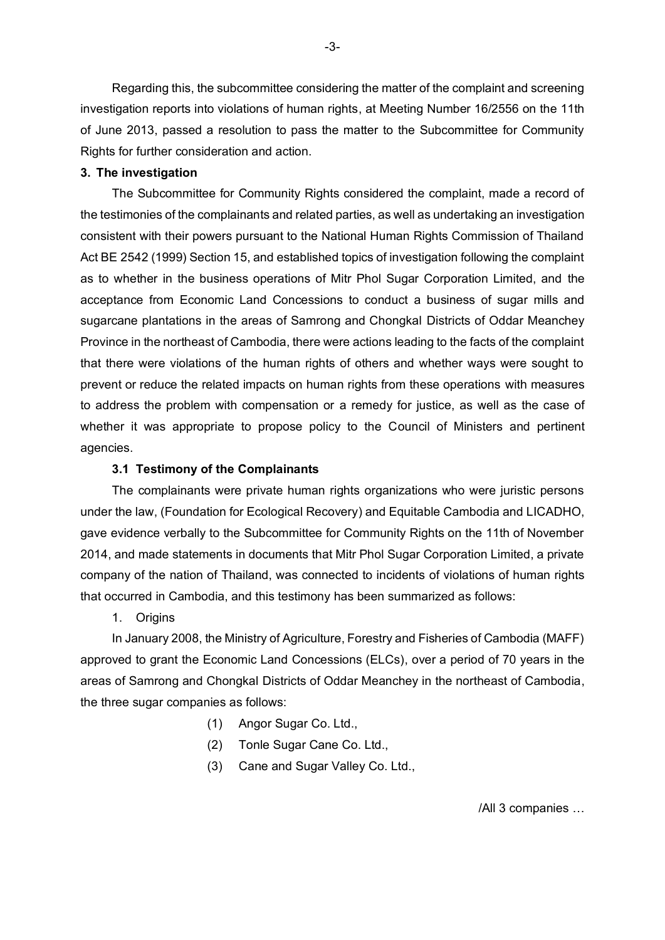Regarding this, the subcommittee considering the matter of the complaint and screening investigation reports into violations of human rights, at Meeting Number 16/2556 on the 11th of June 2013, passed a resolution to pass the matter to the Subcommittee for Community Rights for further consideration and action.

#### **3. The investigation**

The Subcommittee for Community Rights considered the complaint, made a record of the testimonies of the complainants and related parties, as well as undertaking an investigation consistent with their powers pursuant to the National Human Rights Commission of Thailand Act BE 2542 (1999) Section 15, and established topics of investigation following the complaint as to whether in the business operations of Mitr Phol Sugar Corporation Limited, and the acceptance from Economic Land Concessions to conduct a business of sugar mills and sugarcane plantations in the areas of Samrong and Chongkal Districts of Oddar Meanchey Province in the northeast of Cambodia, there were actions leading to the facts of the complaint that there were violations of the human rights of others and whether ways were sought to prevent or reduce the related impacts on human rights from these operations with measures to address the problem with compensation or a remedy for justice, as well as the case of whether it was appropriate to propose policy to the Council of Ministers and pertinent agencies.

### **3.1 Testimony of the Complainants**

The complainants were private human rights organizations who were juristic persons under the law, (Foundation for Ecological Recovery) and Equitable Cambodia and LICADHO, gave evidence verbally to the Subcommittee for Community Rights on the 11th of November 2014, and made statements in documents that Mitr Phol Sugar Corporation Limited, a private company of the nation of Thailand, was connected to incidents of violations of human rights that occurred in Cambodia, and this testimony has been summarized as follows:

1. Origins

In January 2008, the Ministry of Agriculture, Forestry and Fisheries of Cambodia (MAFF) approved to grant the Economic Land Concessions (ELCs), over a period of 70 years in the areas of Samrong and Chongkal Districts of Oddar Meanchey in the northeast of Cambodia, the three sugar companies as follows:

- (1) Angor Sugar Co. Ltd.,
- (2) Tonle Sugar Cane Co. Ltd.,
- (3) Cane and Sugar Valley Co. Ltd.,

/All 3 companies …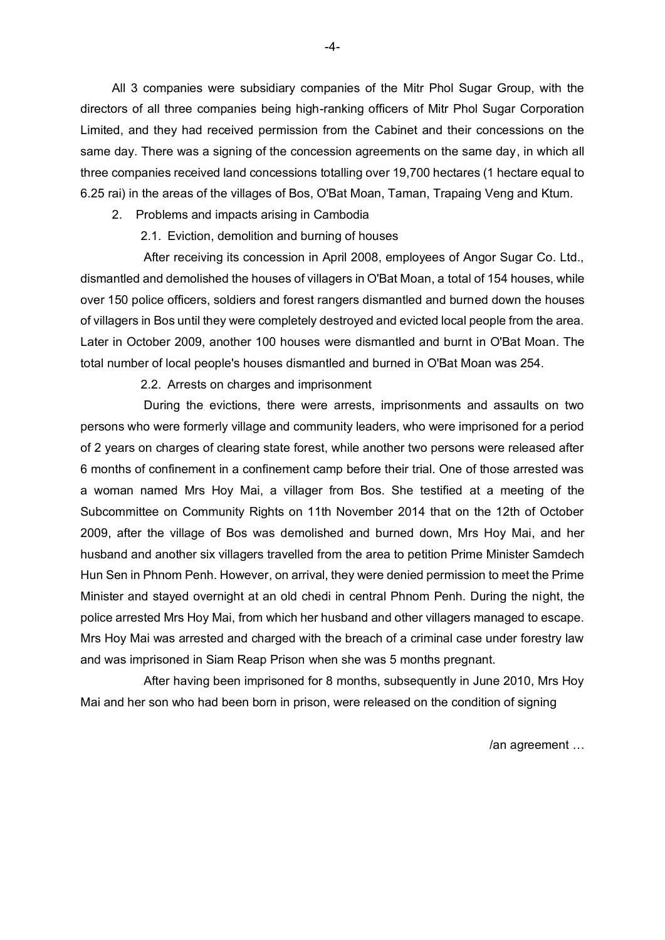All 3 companies were subsidiary companies of the Mitr Phol Sugar Group, with the directors of all three companies being high-ranking officers of Mitr Phol Sugar Corporation Limited, and they had received permission from the Cabinet and their concessions on the same day. There was a signing of the concession agreements on the same day, in which all three companies received land concessions totalling over 19,700 hectares (1 hectare equal to 6.25 rai) in the areas of the villages of Bos, O'Bat Moan, Taman, Trapaing Veng and Ktum.

2. Problems and impacts arising in Cambodia

2.1. Eviction, demolition and burning of houses

After receiving its concession in April 2008, employees of Angor Sugar Co. Ltd., dismantled and demolished the houses of villagers in O'Bat Moan, a total of 154 houses, while over 150 police officers, soldiers and forest rangers dismantled and burned down the houses of villagers in Bos until they were completely destroyed and evicted local people from the area. Later in October 2009, another 100 houses were dismantled and burnt in O'Bat Moan. The total number of local people's houses dismantled and burned in O'Bat Moan was 254.

2.2. Arrests on charges and imprisonment

During the evictions, there were arrests, imprisonments and assaults on two persons who were formerly village and community leaders, who were imprisoned for a period of 2 years on charges of clearing state forest, while another two persons were released after 6 months of confinement in a confinement camp before their trial. One of those arrested was a woman named Mrs Hoy Mai, a villager from Bos. She testified at a meeting of the Subcommittee on Community Rights on 11th November 2014 that on the 12th of October 2009, after the village of Bos was demolished and burned down, Mrs Hoy Mai, and her husband and another six villagers travelled from the area to petition Prime Minister Samdech Hun Sen in Phnom Penh. However, on arrival, they were denied permission to meet the Prime Minister and stayed overnight at an old chedi in central Phnom Penh. During the night, the police arrested Mrs Hoy Mai, from which her husband and other villagers managed to escape. Mrs Hoy Mai was arrested and charged with the breach of a criminal case under forestry law and was imprisoned in Siam Reap Prison when she was 5 months pregnant.

After having been imprisoned for 8 months, subsequently in June 2010, Mrs Hoy Mai and her son who had been born in prison, were released on the condition of signing

/an agreement …

-4-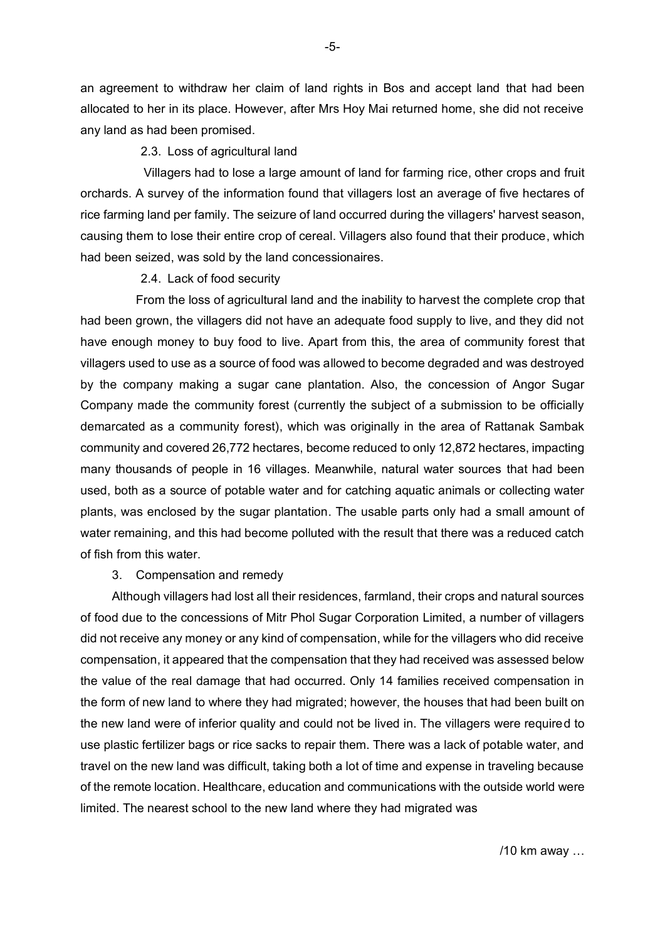an agreement to withdraw her claim of land rights in Bos and accept land that had been allocated to her in its place. However, after Mrs Hoy Mai returned home, she did not receive any land as had been promised.

2.3. Loss of agricultural land

Villagers had to lose a large amount of land for farming rice, other crops and fruit orchards. A survey of the information found that villagers lost an average of five hectares of rice farming land per family. The seizure of land occurred during the villagers' harvest season, causing them to lose their entire crop of cereal. Villagers also found that their produce, which had been seized, was sold by the land concessionaires.

2.4. Lack of food security

From the loss of agricultural land and the inability to harvest the complete crop that had been grown, the villagers did not have an adequate food supply to live, and they did not have enough money to buy food to live. Apart from this, the area of community forest that villagers used to use as a source of food was allowed to become degraded and was destroyed by the company making a sugar cane plantation. Also, the concession of Angor Sugar Company made the community forest (currently the subject of a submission to be officially demarcated as a community forest), which was originally in the area of Rattanak Sambak community and covered 26,772 hectares, become reduced to only 12,872 hectares, impacting many thousands of people in 16 villages. Meanwhile, natural water sources that had been used, both as a source of potable water and for catching aquatic animals or collecting water plants, was enclosed by the sugar plantation. The usable parts only had a small amount of water remaining, and this had become polluted with the result that there was a reduced catch of fish from this water.

### 3. Compensation and remedy

Although villagers had lost all their residences, farmland, their crops and natural sources of food due to the concessions of Mitr Phol Sugar Corporation Limited, a number of villagers did not receive any money or any kind of compensation, while for the villagers who did receive compensation, it appeared that the compensation that they had received was assessed below the value of the real damage that had occurred. Only 14 families received compensation in the form of new land to where they had migrated; however, the houses that had been built on the new land were of inferior quality and could not be lived in. The villagers were required to use plastic fertilizer bags or rice sacks to repair them. There was a lack of potable water, and travel on the new land was difficult, taking both a lot of time and expense in traveling because of the remote location. Healthcare, education and communications with the outside world were limited. The nearest school to the new land where they had migrated was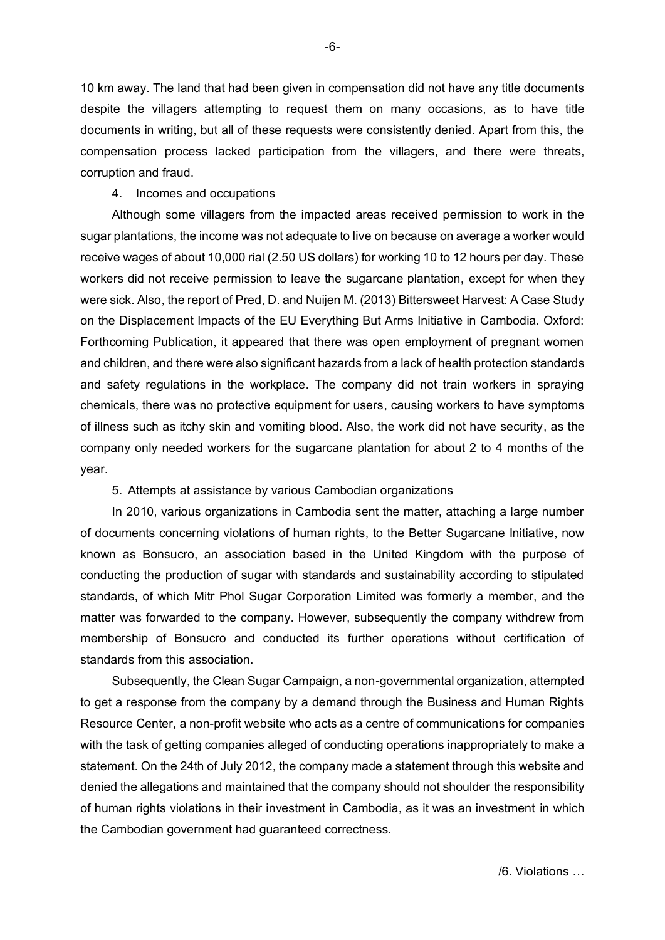10 km away. The land that had been given in compensation did not have any title documents despite the villagers attempting to request them on many occasions, as to have title documents in writing, but all of these requests were consistently denied. Apart from this, the compensation process lacked participation from the villagers, and there were threats, corruption and fraud.

### 4. Incomes and occupations

Although some villagers from the impacted areas received permission to work in the sugar plantations, the income was not adequate to live on because on average a worker would receive wages of about 10,000 rial (2.50 US dollars) for working 10 to 12 hours per day. These workers did not receive permission to leave the sugarcane plantation, except for when they were sick. Also, the report of Pred, D. and Nuijen M. (2013) Bittersweet Harvest: A Case Study on the Displacement Impacts of the EU Everything But Arms Initiative in Cambodia. Oxford: Forthcoming Publication, it appeared that there was open employment of pregnant women and children, and there were also significant hazards from a lack of health protection standards and safety regulations in the workplace. The company did not train workers in spraying chemicals, there was no protective equipment for users, causing workers to have symptoms of illness such as itchy skin and vomiting blood. Also, the work did not have security, as the company only needed workers for the sugarcane plantation for about 2 to 4 months of the year.

## 5. Attempts at assistance by various Cambodian organizations

In 2010, various organizations in Cambodia sent the matter, attaching a large number of documents concerning violations of human rights, to the Better Sugarcane Initiative, now known as Bonsucro, an association based in the United Kingdom with the purpose of conducting the production of sugar with standards and sustainability according to stipulated standards, of which Mitr Phol Sugar Corporation Limited was formerly a member, and the matter was forwarded to the company. However, subsequently the company withdrew from membership of Bonsucro and conducted its further operations without certification of standards from this association.

Subsequently, the Clean Sugar Campaign, a non-governmental organization, attempted to get a response from the company by a demand through the Business and Human Rights Resource Center, a non-profit website who acts as a centre of communications for companies with the task of getting companies alleged of conducting operations inappropriately to make a statement. On the 24th of July 2012, the company made a statement through this website and denied the allegations and maintained that the company should not shoulder the responsibility of human rights violations in their investment in Cambodia, as it was an investment in which the Cambodian government had guaranteed correctness.

-6-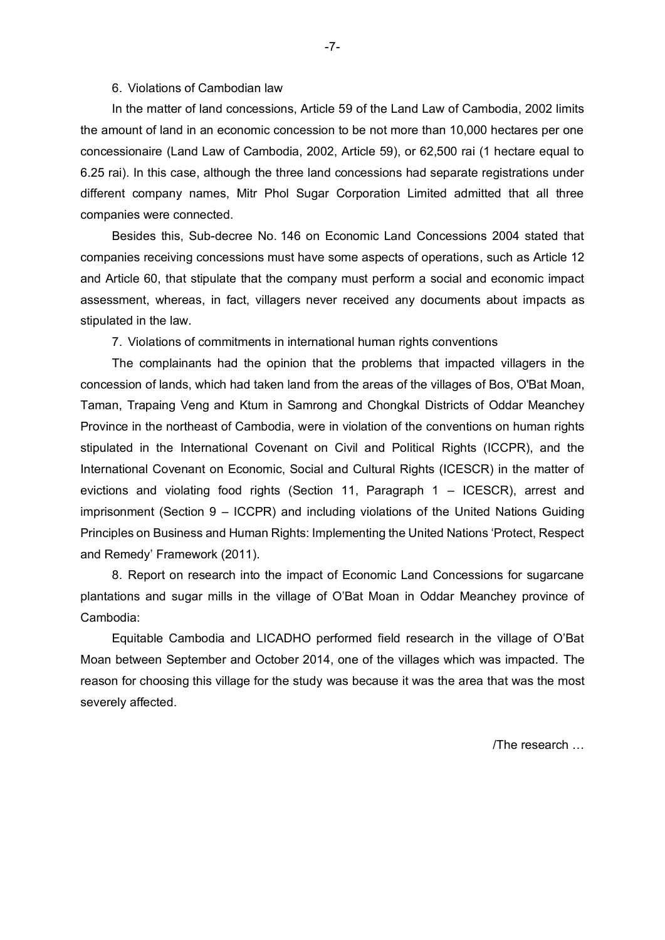### 6. Violations of Cambodian law

In the matter of land concessions, Article 59 of the Land Law of Cambodia, 2002 limits the amount of land in an economic concession to be not more than 10,000 hectares per one concessionaire (Land Law of Cambodia, 2002, Article 59), or 62,500 rai (1 hectare equal to 6.25 rai). In this case, although the three land concessions had separate registrations under different company names, Mitr Phol Sugar Corporation Limited admitted that all three companies were connected.

Besides this, Sub-decree No. 146 on Economic Land Concessions 2004 stated that companies receiving concessions must have some aspects of operations, such as Article 12 and Article 60, that stipulate that the company must perform a social and economic impact assessment, whereas, in fact, villagers never received any documents about impacts as stipulated in the law.

7. Violations of commitments in international human rights conventions

The complainants had the opinion that the problems that impacted villagers in the concession of lands, which had taken land from the areas of the villages of Bos, O'Bat Moan, Taman, Trapaing Veng and Ktum in Samrong and Chongkal Districts of Oddar Meanchey Province in the northeast of Cambodia, were in violation of the conventions on human rights stipulated in the International Covenant on Civil and Political Rights (ICCPR), and the International Covenant on Economic, Social and Cultural Rights (ICESCR) in the matter of evictions and violating food rights (Section 11, Paragraph 1 – ICESCR), arrest and imprisonment (Section 9 – ICCPR) and including violations of the United Nations Guiding Principles on Business and Human Rights: Implementing the United Nations 'Protect, Respect and Remedy' Framework (2011).

8. Report on research into the impact of Economic Land Concessions for sugarcane plantations and sugar mills in the village of O'Bat Moan in Oddar Meanchey province of Cambodia:

Equitable Cambodia and LICADHO performed field research in the village of O'Bat Moan between September and October 2014, one of the villages which was impacted. The reason for choosing this village for the study was because it was the area that was the most severely affected.

/The research …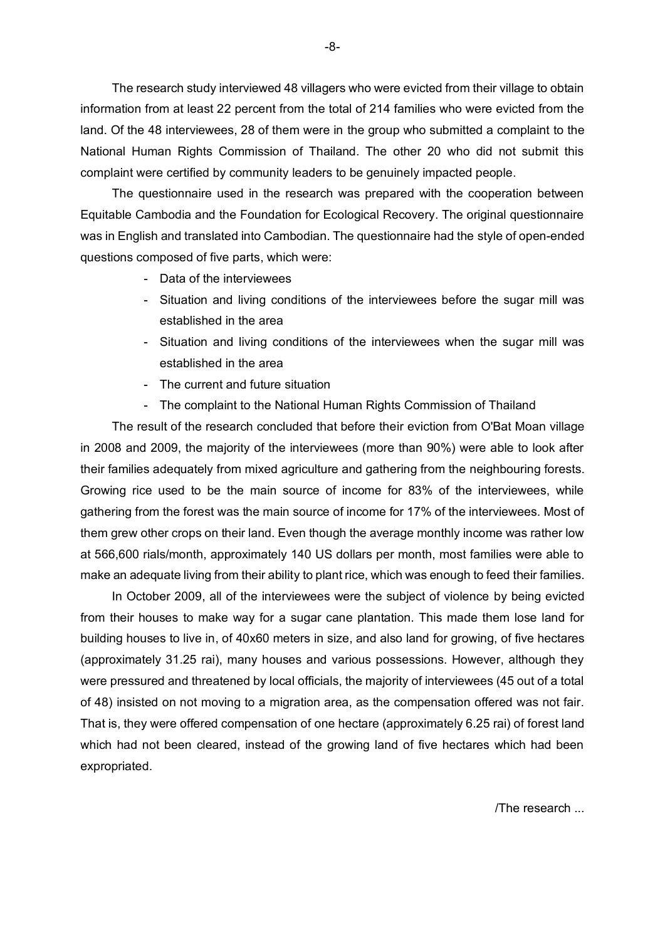The research study interviewed 48 villagers who were evicted from their village to obtain information from at least 22 percent from the total of 214 families who were evicted from the land. Of the 48 interviewees, 28 of them were in the group who submitted a complaint to the National Human Rights Commission of Thailand. The other 20 who did not submit this complaint were certified by community leaders to be genuinely impacted people.

The questionnaire used in the research was prepared with the cooperation between Equitable Cambodia and the Foundation for Ecological Recovery. The original questionnaire was in English and translated into Cambodian. The questionnaire had the style of open-ended questions composed of five parts, which were:

- Data of the interviewees
- Situation and living conditions of the interviewees before the sugar mill was established in the area
- Situation and living conditions of the interviewees when the sugar mill was established in the area
- The current and future situation
- The complaint to the National Human Rights Commission of Thailand

The result of the research concluded that before their eviction from O'Bat Moan village in 2008 and 2009, the majority of the interviewees (more than 90%) were able to look after their families adequately from mixed agriculture and gathering from the neighbouring forests. Growing rice used to be the main source of income for 83% of the interviewees, while gathering from the forest was the main source of income for 17% of the interviewees. Most of them grew other crops on their land. Even though the average monthly income was rather low at 566,600 rials/month, approximately 140 US dollars per month, most families were able to make an adequate living from their ability to plant rice, which was enough to feed their families.

In October 2009, all of the interviewees were the subject of violence by being evicted from their houses to make way for a sugar cane plantation. This made them lose land for building houses to live in, of 40x60 meters in size, and also land for growing, of five hectares (approximately 31.25 rai), many houses and various possessions. However, although they were pressured and threatened by local officials, the majority of interviewees (45 out of a total of 48) insisted on not moving to a migration area, as the compensation offered was not fair. That is, they were offered compensation of one hectare (approximately 6.25 rai) of forest land which had not been cleared, instead of the growing land of five hectares which had been expropriated.

/The research ...

-8-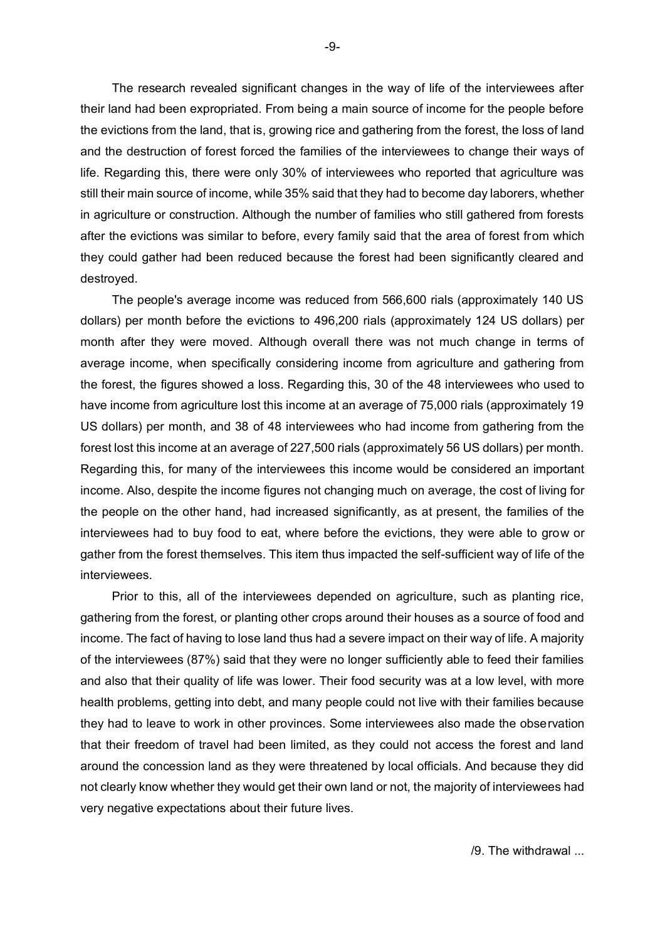The research revealed significant changes in the way of life of the interviewees after their land had been expropriated. From being a main source of income for the people before the evictions from the land, that is, growing rice and gathering from the forest, the loss of land and the destruction of forest forced the families of the interviewees to change their ways of life. Regarding this, there were only 30% of interviewees who reported that agriculture was still their main source of income, while 35% said that they had to become day laborers, whether in agriculture or construction. Although the number of families who still gathered from forests after the evictions was similar to before, every family said that the area of forest from which they could gather had been reduced because the forest had been significantly cleared and destroyed.

The people's average income was reduced from 566,600 rials (approximately 140 US dollars) per month before the evictions to 496,200 rials (approximately 124 US dollars) per month after they were moved. Although overall there was not much change in terms of average income, when specifically considering income from agriculture and gathering from the forest, the figures showed a loss. Regarding this, 30 of the 48 interviewees who used to have income from agriculture lost this income at an average of 75,000 rials (approximately 19 US dollars) per month, and 38 of 48 interviewees who had income from gathering from the forest lost this income at an average of 227,500 rials (approximately 56 US dollars) per month. Regarding this, for many of the interviewees this income would be considered an important income. Also, despite the income figures not changing much on average, the cost of living for the people on the other hand, had increased significantly, as at present, the families of the interviewees had to buy food to eat, where before the evictions, they were able to grow or gather from the forest themselves. This item thus impacted the self-sufficient way of life of the interviewees.

Prior to this, all of the interviewees depended on agriculture, such as planting rice, gathering from the forest, or planting other crops around their houses as a source of food and income. The fact of having to lose land thus had a severe impact on their way of life. A majority of the interviewees (87%) said that they were no longer sufficiently able to feed their families and also that their quality of life was lower. Their food security was at a low level, with more health problems, getting into debt, and many people could not live with their families because they had to leave to work in other provinces. Some interviewees also made the observation that their freedom of travel had been limited, as they could not access the forest and land around the concession land as they were threatened by local officials. And because they did not clearly know whether they would get their own land or not, the majority of interviewees had very negative expectations about their future lives.

 $/9$  The withdrawal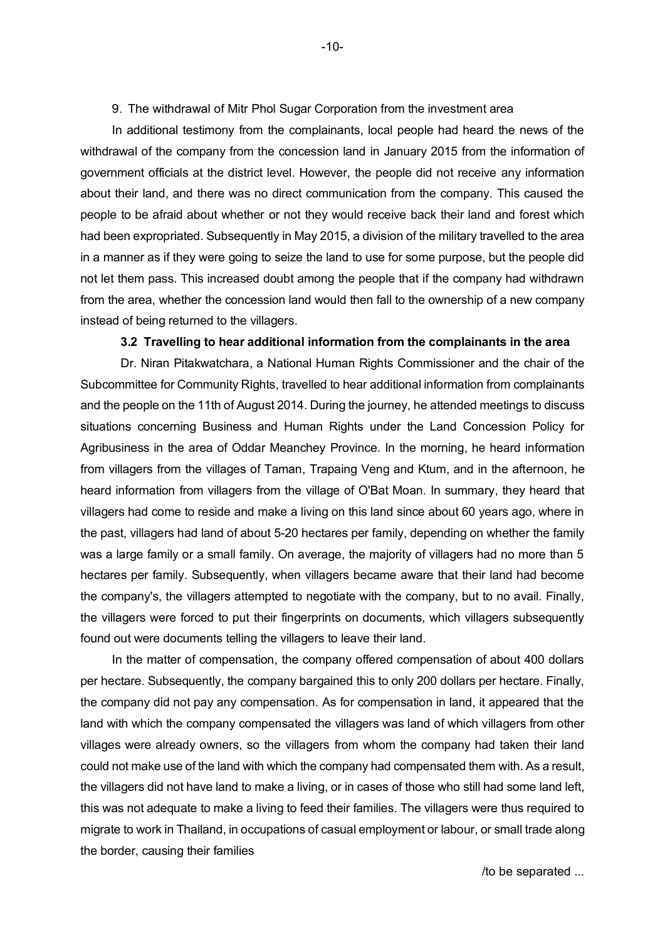### 9. The withdrawal of Mitr Phol Sugar Corporation from the investment area

In additional testimony from the complainants, local people had heard the news of the withdrawal of the company from the concession land in January 2015 from the information of government officials at the district level. However, the people did not receive any information about their land, and there was no direct communication from the company. This caused the people to be afraid about whether or not they would receive back their land and forest which had been expropriated. Subsequently in May 2015, a division of the military travelled to the area in a manner as if they were going to seize the land to use for some purpose, but the people did not let them pass. This increased doubt among the people that if the company had withdrawn from the area, whether the concession land would then fall to the ownership of a new company instead of being returned to the villagers.

## **3.2 Travelling to hear additional information from the complainants in the area**

Dr. Niran Pitakwatchara, a National Human Rights Commissioner and the chair of the Subcommittee for Community Rights, travelled to hear additional information from complainants and the people on the 11th of August 2014. During the journey, he attended meetings to discuss situations concerning Business and Human Rights under the Land Concession Policy for Agribusiness in the area of Oddar Meanchey Province. In the morning, he heard information from villagers from the villages of Taman, Trapaing Veng and Ktum, and in the afternoon, he heard information from villagers from the village of O'Bat Moan. In summary, they heard that villagers had come to reside and make a living on this land since about 60 years ago, where in the past, villagers had land of about 5-20 hectares per family, depending on whether the family was a large family or a small family. On average, the majority of villagers had no more than 5 hectares per family. Subsequently, when villagers became aware that their land had become the company's, the villagers attempted to negotiate with the company, but to no avail. Finally, the villagers were forced to put their fingerprints on documents, which villagers subsequently found out were documents telling the villagers to leave their land.

In the matter of compensation, the company offered compensation of about 400 dollars per hectare. Subsequently, the company bargained this to only 200 dollars per hectare. Finally, the company did not pay any compensation. As for compensation in land, it appeared that the land with which the company compensated the villagers was land of which villagers from other villages were already owners, so the villagers from whom the company had taken their land could not make use of the land with which the company had compensated them with. As a result, the villagers did not have land to make a living, or in cases of those who still had some land left, this was not adequate to make a living to feed their families. The villagers were thus required to migrate to work in Thailand, in occupations of casual employment or labour, or small trade along the border, causing their families

-10-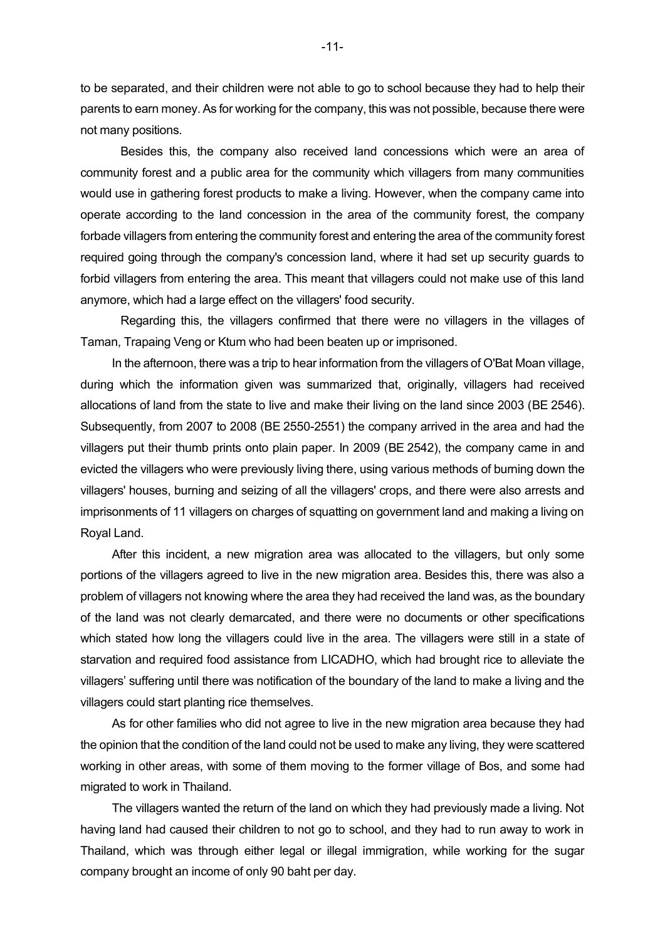to be separated, and their children were not able to go to school because they had to help their parents to earn money. As for working for the company, this was not possible, because there were not many positions.

Besides this, the company also received land concessions which were an area of community forest and a public area for the community which villagers from many communities would use in gathering forest products to make a living. However, when the company came into operate according to the land concession in the area of the community forest, the company forbade villagers from entering the community forest and entering the area of the community forest required going through the company's concession land, where it had set up security guards to forbid villagers from entering the area. This meant that villagers could not make use of this land anymore, which had a large effect on the villagers' food security.

Regarding this, the villagers confirmed that there were no villagers in the villages of Taman, Trapaing Veng or Ktum who had been beaten up or imprisoned.

In the afternoon, there was a trip to hear information from the villagers of O'Bat Moan village, during which the information given was summarized that, originally, villagers had received allocations of land from the state to live and make their living on the land since 2003 (BE 2546). Subsequently, from 2007 to 2008 (BE 2550-2551) the company arrived in the area and had the villagers put their thumb prints onto plain paper. In 2009 (BE 2542), the company came in and evicted the villagers who were previously living there, using various methods of burning down the villagers' houses, burning and seizing of all the villagers' crops, and there were also arrests and imprisonments of 11 villagers on charges of squatting on government land and making a living on Royal Land.

After this incident, a new migration area was allocated to the villagers, but only some portions of the villagers agreed to live in the new migration area. Besides this, there was also a problem of villagers not knowing where the area they had received the land was, as the boundary of the land was not clearly demarcated, and there were no documents or other specifications which stated how long the villagers could live in the area. The villagers were still in a state of starvation and required food assistance from LICADHO, which had brought rice to alleviate the villagers' suffering until there was notification of the boundary of the land to make a living and the villagers could start planting rice themselves.

As for other families who did not agree to live in the new migration area because they had the opinion that the condition of the land could not be used to make any living, they were scattered working in other areas, with some of them moving to the former village of Bos, and some had migrated to work in Thailand.

The villagers wanted the return of the land on which they had previously made a living. Not having land had caused their children to not go to school, and they had to run away to work in Thailand, which was through either legal or illegal immigration, while working for the sugar company brought an income of only 90 baht per day.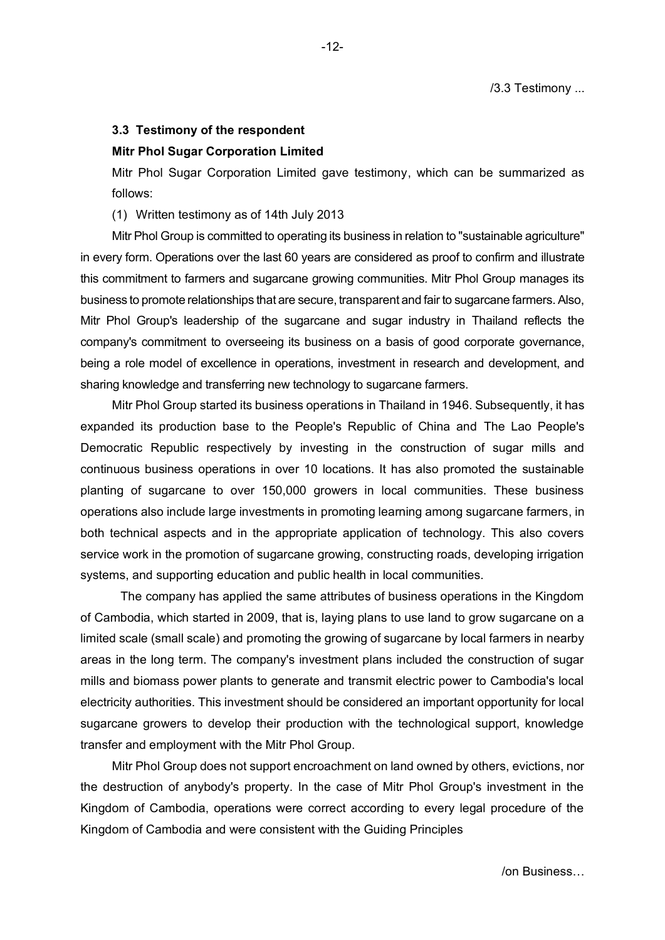### **3.3 Testimony of the respondent**

#### **Mitr Phol Sugar Corporation Limited**

Mitr Phol Sugar Corporation Limited gave testimony, which can be summarized as follows:

### (1) Written testimony as of 14th July 2013

Mitr Phol Group is committed to operating its business in relation to "sustainable agriculture" in every form. Operations over the last 60 years are considered as proof to confirm and illustrate this commitment to farmers and sugarcane growing communities. Mitr Phol Group manages its business to promote relationships that are secure, transparent and fair to sugarcane farmers. Also, Mitr Phol Group's leadership of the sugarcane and sugar industry in Thailand reflects the company's commitment to overseeing its business on a basis of good corporate governance, being a role model of excellence in operations, investment in research and development, and sharing knowledge and transferring new technology to sugarcane farmers.

Mitr Phol Group started its business operations in Thailand in 1946. Subsequently, it has expanded its production base to the People's Republic of China and The Lao People's Democratic Republic respectively by investing in the construction of sugar mills and continuous business operations in over 10 locations. It has also promoted the sustainable planting of sugarcane to over 150,000 growers in local communities. These business operations also include large investments in promoting learning among sugarcane farmers, in both technical aspects and in the appropriate application of technology. This also covers service work in the promotion of sugarcane growing, constructing roads, developing irrigation systems, and supporting education and public health in local communities.

The company has applied the same attributes of business operations in the Kingdom of Cambodia, which started in 2009, that is, laying plans to use land to grow sugarcane on a limited scale (small scale) and promoting the growing of sugarcane by local farmers in nearby areas in the long term. The company's investment plans included the construction of sugar mills and biomass power plants to generate and transmit electric power to Cambodia's local electricity authorities. This investment should be considered an important opportunity for local sugarcane growers to develop their production with the technological support, knowledge transfer and employment with the Mitr Phol Group.

Mitr Phol Group does not support encroachment on land owned by others, evictions, nor the destruction of anybody's property. In the case of Mitr Phol Group's investment in the Kingdom of Cambodia, operations were correct according to every legal procedure of the Kingdom of Cambodia and were consistent with the Guiding Principles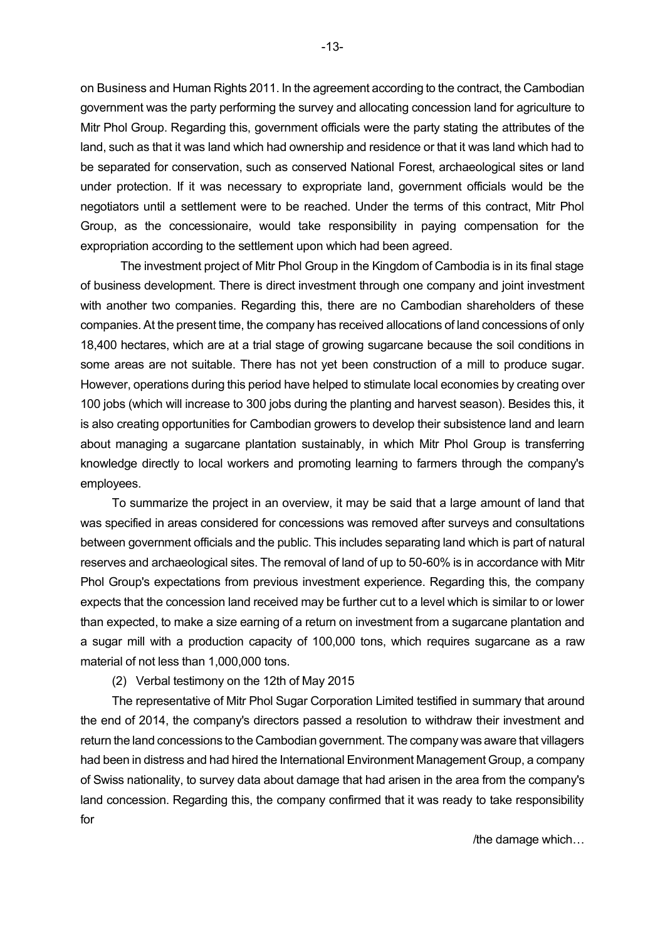on Business and Human Rights 2011. In the agreement according to the contract, the Cambodian government was the party performing the survey and allocating concession land for agriculture to Mitr Phol Group. Regarding this, government officials were the party stating the attributes of the land, such as that it was land which had ownership and residence or that it was land which had to be separated for conservation, such as conserved National Forest, archaeological sites or land under protection. If it was necessary to expropriate land, government officials would be the negotiators until a settlement were to be reached. Under the terms of this contract, Mitr Phol Group, as the concessionaire, would take responsibility in paying compensation for the expropriation according to the settlement upon which had been agreed.

The investment project of Mitr Phol Group in the Kingdom of Cambodia is in its final stage of business development. There is direct investment through one company and joint investment with another two companies. Regarding this, there are no Cambodian shareholders of these companies. At the present time, the company has received allocations of land concessions of only 18,400 hectares, which are at a trial stage of growing sugarcane because the soil conditions in some areas are not suitable. There has not yet been construction of a mill to produce sugar. However, operations during this period have helped to stimulate local economies by creating over 100 jobs (which will increase to 300 jobs during the planting and harvest season). Besides this, it is also creating opportunities for Cambodian growers to develop their subsistence land and learn about managing a sugarcane plantation sustainably, in which Mitr Phol Group is transferring knowledge directly to local workers and promoting learning to farmers through the company's employees.

To summarize the project in an overview, it may be said that a large amount of land that was specified in areas considered for concessions was removed after surveys and consultations between government officials and the public. This includes separating land which is part of natural reserves and archaeological sites. The removal of land of up to 50-60% is in accordance with Mitr Phol Group's expectations from previous investment experience. Regarding this, the company expects that the concession land received may be further cut to a level which is similar to or lower than expected, to make a size earning of a return on investment from a sugarcane plantation and a sugar mill with a production capacity of 100,000 tons, which requires sugarcane as a raw material of not less than 1,000,000 tons.

## (2) Verbal testimony on the 12th of May 2015

The representative of Mitr Phol Sugar Corporation Limited testified in summary that around the end of 2014, the company's directors passed a resolution to withdraw their investment and return the land concessions to the Cambodian government. The company was aware that villagers had been in distress and had hired the International Environment Management Group, a company of Swiss nationality, to survey data about damage that had arisen in the area from the company's land concession. Regarding this, the company confirmed that it was ready to take responsibility for

/the damage which…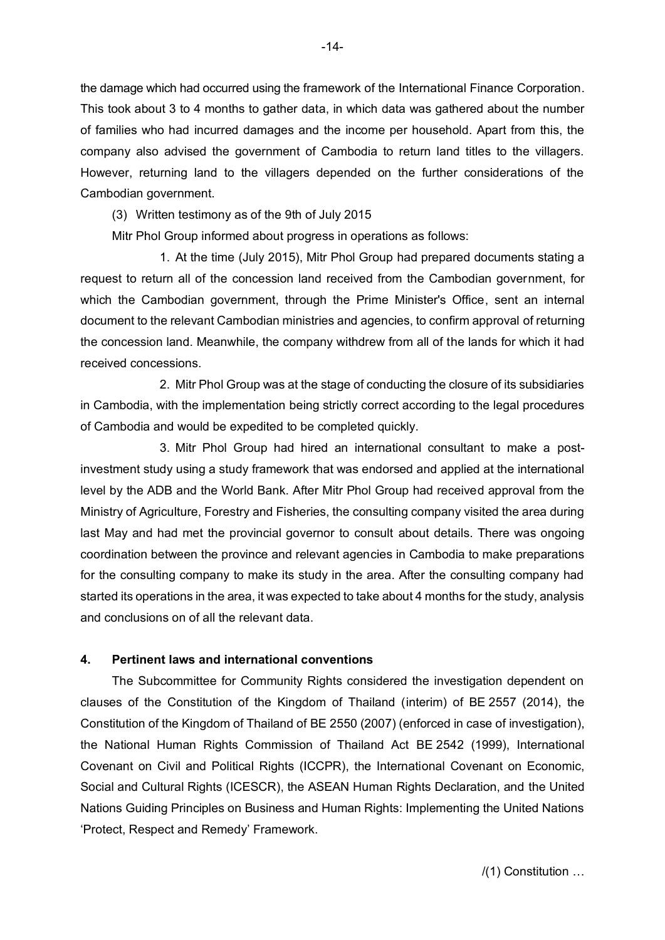the damage which had occurred using the framework of the International Finance Corporation. This took about 3 to 4 months to gather data, in which data was gathered about the number of families who had incurred damages and the income per household. Apart from this, the company also advised the government of Cambodia to return land titles to the villagers. However, returning land to the villagers depended on the further considerations of the Cambodian government.

(3) Written testimony as of the 9th of July 2015

Mitr Phol Group informed about progress in operations as follows:

1. At the time (July 2015), Mitr Phol Group had prepared documents stating a request to return all of the concession land received from the Cambodian government, for which the Cambodian government, through the Prime Minister's Office, sent an internal document to the relevant Cambodian ministries and agencies, to confirm approval of returning the concession land. Meanwhile, the company withdrew from all of the lands for which it had received concessions.

2. Mitr Phol Group was at the stage of conducting the closure of its subsidiaries in Cambodia, with the implementation being strictly correct according to the legal procedures of Cambodia and would be expedited to be completed quickly.

3. Mitr Phol Group had hired an international consultant to make a postinvestment study using a study framework that was endorsed and applied at the international level by the ADB and the World Bank. After Mitr Phol Group had received approval from the Ministry of Agriculture, Forestry and Fisheries, the consulting company visited the area during last May and had met the provincial governor to consult about details. There was ongoing coordination between the province and relevant agencies in Cambodia to make preparations for the consulting company to make its study in the area. After the consulting company had started its operations in the area, it was expected to take about 4 months for the study, analysis and conclusions on of all the relevant data.

## **4. Pertinent laws and international conventions**

The Subcommittee for Community Rights considered the investigation dependent on clauses of the Constitution of the Kingdom of Thailand (interim) of BE 2557 (2014), the Constitution of the Kingdom of Thailand of BE 2550 (2007) (enforced in case of investigation), the National Human Rights Commission of Thailand Act BE 2542 (1999), International Covenant on Civil and Political Rights (ICCPR), the International Covenant on Economic, Social and Cultural Rights (ICESCR), the ASEAN Human Rights Declaration, and the United Nations Guiding Principles on Business and Human Rights: Implementing the United Nations 'Protect, Respect and Remedy' Framework.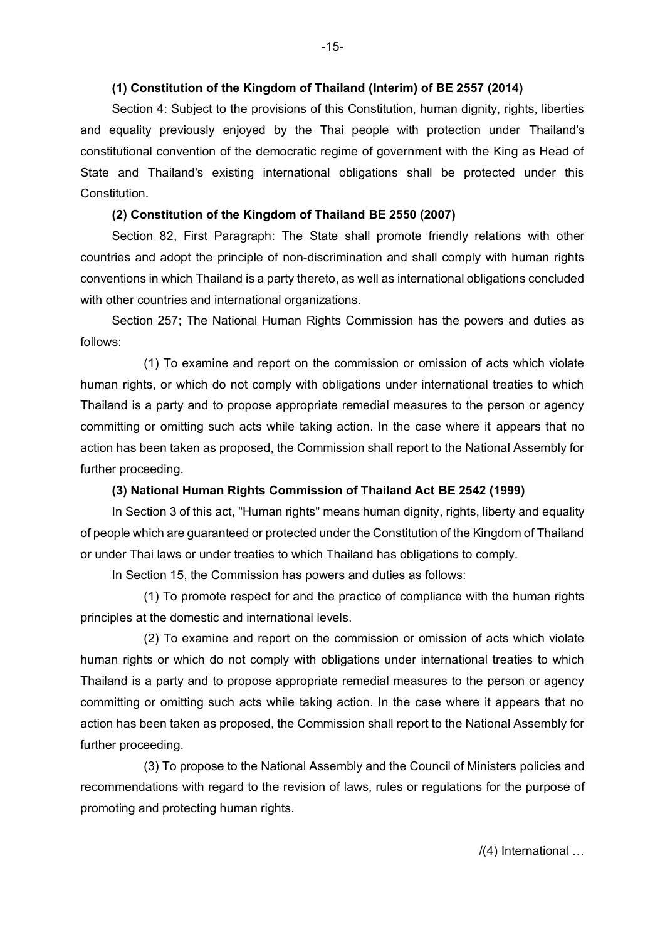### **(1) Constitution of the Kingdom of Thailand (Interim) of BE 2557 (2014)**

Section 4: Subject to the provisions of this Constitution, human dignity, rights, liberties and equality previously enjoyed by the Thai people with protection under Thailand's constitutional convention of the democratic regime of government with the King as Head of State and Thailand's existing international obligations shall be protected under this Constitution.

## **(2) Constitution of the Kingdom of Thailand BE 2550 (2007)**

Section 82, First Paragraph: The State shall promote friendly relations with other countries and adopt the principle of non-discrimination and shall comply with human rights conventions in which Thailand is a party thereto, as well as international obligations concluded with other countries and international organizations.

Section 257; The National Human Rights Commission has the powers and duties as follows:

(1) To examine and report on the commission or omission of acts which violate human rights, or which do not comply with obligations under international treaties to which Thailand is a party and to propose appropriate remedial measures to the person or agency committing or omitting such acts while taking action. In the case where it appears that no action has been taken as proposed, the Commission shall report to the National Assembly for further proceeding.

## **(3) National Human Rights Commission of Thailand Act BE 2542 (1999)**

In Section 3 of this act, "Human rights" means human dignity, rights, liberty and equality of people which are guaranteed or protected under the Constitution of the Kingdom of Thailand or under Thai laws or under treaties to which Thailand has obligations to comply.

In Section 15, the Commission has powers and duties as follows:

(1) To promote respect for and the practice of compliance with the human rights principles at the domestic and international levels.

(2) To examine and report on the commission or omission of acts which violate human rights or which do not comply with obligations under international treaties to which Thailand is a party and to propose appropriate remedial measures to the person or agency committing or omitting such acts while taking action. In the case where it appears that no action has been taken as proposed, the Commission shall report to the National Assembly for further proceeding.

(3) To propose to the National Assembly and the Council of Ministers policies and recommendations with regard to the revision of laws, rules or regulations for the purpose of promoting and protecting human rights.

/(4) International …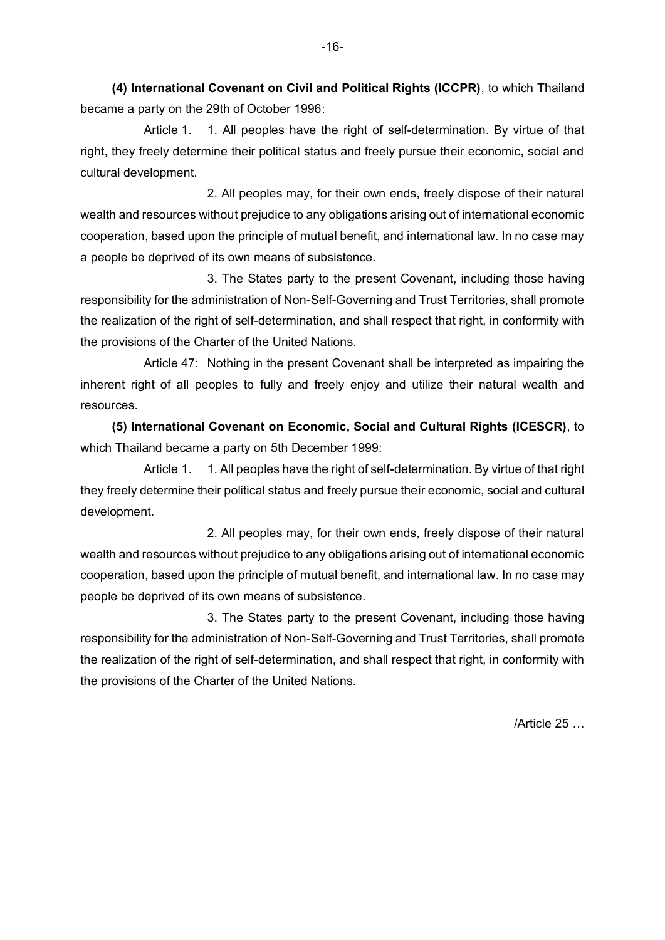**(4) International Covenant on Civil and Political Rights (ICCPR)**, to which Thailand became a party on the 29th of October 1996:

Article 1. 1. All peoples have the right of self-determination. By virtue of that right, they freely determine their political status and freely pursue their economic, social and cultural development.

2. All peoples may, for their own ends, freely dispose of their natural wealth and resources without prejudice to any obligations arising out of international economic cooperation, based upon the principle of mutual benefit, and international law. In no case may a people be deprived of its own means of subsistence.

3. The States party to the present Covenant, including those having responsibility for the administration of Non-Self-Governing and Trust Territories, shall promote the realization of the right of self-determination, and shall respect that right, in conformity with the provisions of the Charter of the United Nations.

Article 47: Nothing in the present Covenant shall be interpreted as impairing the inherent right of all peoples to fully and freely enjoy and utilize their natural wealth and resources.

**(5) International Covenant on Economic, Social and Cultural Rights (ICESCR)**, to which Thailand became a party on 5th December 1999:

Article 1. 1. All peoples have the right of self-determination. By virtue of that right they freely determine their political status and freely pursue their economic, social and cultural development.

2. All peoples may, for their own ends, freely dispose of their natural wealth and resources without prejudice to any obligations arising out of international economic cooperation, based upon the principle of mutual benefit, and international law. In no case may people be deprived of its own means of subsistence.

3. The States party to the present Covenant, including those having responsibility for the administration of Non-Self-Governing and Trust Territories, shall promote the realization of the right of self-determination, and shall respect that right, in conformity with the provisions of the Charter of the United Nations.

/Article 25 …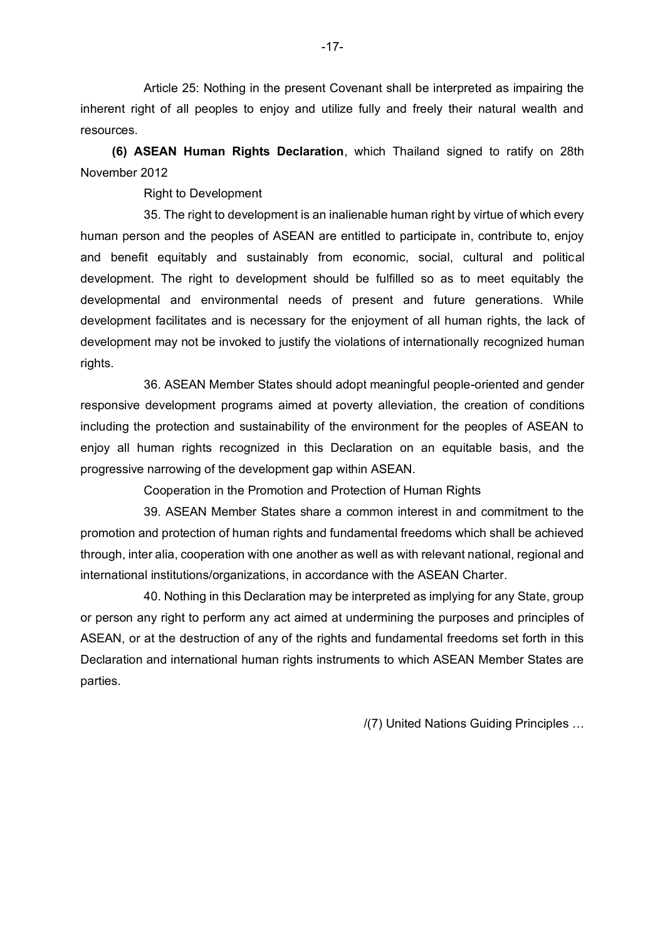Article 25: Nothing in the present Covenant shall be interpreted as impairing the inherent right of all peoples to enjoy and utilize fully and freely their natural wealth and resources.

**(6) ASEAN Human Rights Declaration**, which Thailand signed to ratify on 28th November 2012

Right to Development

35. The right to development is an inalienable human right by virtue of which every human person and the peoples of ASEAN are entitled to participate in, contribute to, enjoy and benefit equitably and sustainably from economic, social, cultural and political development. The right to development should be fulfilled so as to meet equitably the developmental and environmental needs of present and future generations. While development facilitates and is necessary for the enjoyment of all human rights, the lack of development may not be invoked to justify the violations of internationally recognized human rights.

36. ASEAN Member States should adopt meaningful people-oriented and gender responsive development programs aimed at poverty alleviation, the creation of conditions including the protection and sustainability of the environment for the peoples of ASEAN to enjoy all human rights recognized in this Declaration on an equitable basis, and the progressive narrowing of the development gap within ASEAN.

Cooperation in the Promotion and Protection of Human Rights

39. ASEAN Member States share a common interest in and commitment to the promotion and protection of human rights and fundamental freedoms which shall be achieved through, inter alia, cooperation with one another as well as with relevant national, regional and international institutions/organizations, in accordance with the ASEAN Charter.

40. Nothing in this Declaration may be interpreted as implying for any State, group or person any right to perform any act aimed at undermining the purposes and principles of ASEAN, or at the destruction of any of the rights and fundamental freedoms set forth in this Declaration and international human rights instruments to which ASEAN Member States are parties.

/(7) United Nations Guiding Principles …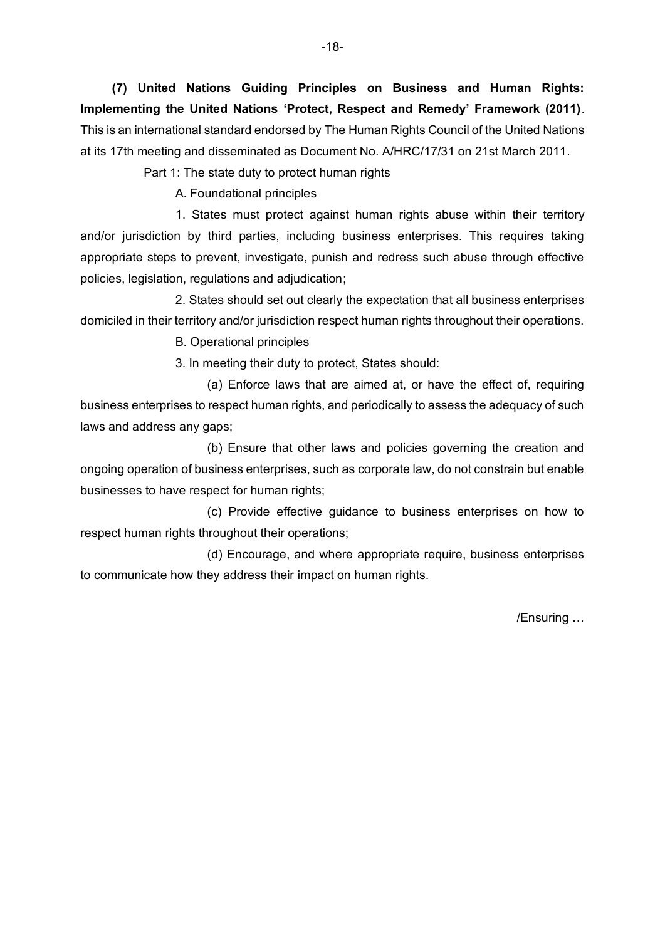**(7) United Nations Guiding Principles on Business and Human Rights: Implementing the United Nations 'Protect, Respect and Remedy' Framework (2011)**. This is an international standard endorsed by The Human Rights Council of the United Nations at its 17th meeting and disseminated as Document No. A/HRC/17/31 on 21st March 2011.

Part 1: The state duty to protect human rights

A. Foundational principles

1. States must protect against human rights abuse within their territory and/or jurisdiction by third parties, including business enterprises. This requires taking appropriate steps to prevent, investigate, punish and redress such abuse through effective policies, legislation, regulations and adjudication;

2. States should set out clearly the expectation that all business enterprises domiciled in their territory and/or jurisdiction respect human rights throughout their operations.

B. Operational principles

3. In meeting their duty to protect, States should:

(a) Enforce laws that are aimed at, or have the effect of, requiring business enterprises to respect human rights, and periodically to assess the adequacy of such laws and address any gaps;

(b) Ensure that other laws and policies governing the creation and ongoing operation of business enterprises, such as corporate law, do not constrain but enable businesses to have respect for human rights;

(c) Provide effective guidance to business enterprises on how to respect human rights throughout their operations;

(d) Encourage, and where appropriate require, business enterprises to communicate how they address their impact on human rights.

/Ensuring …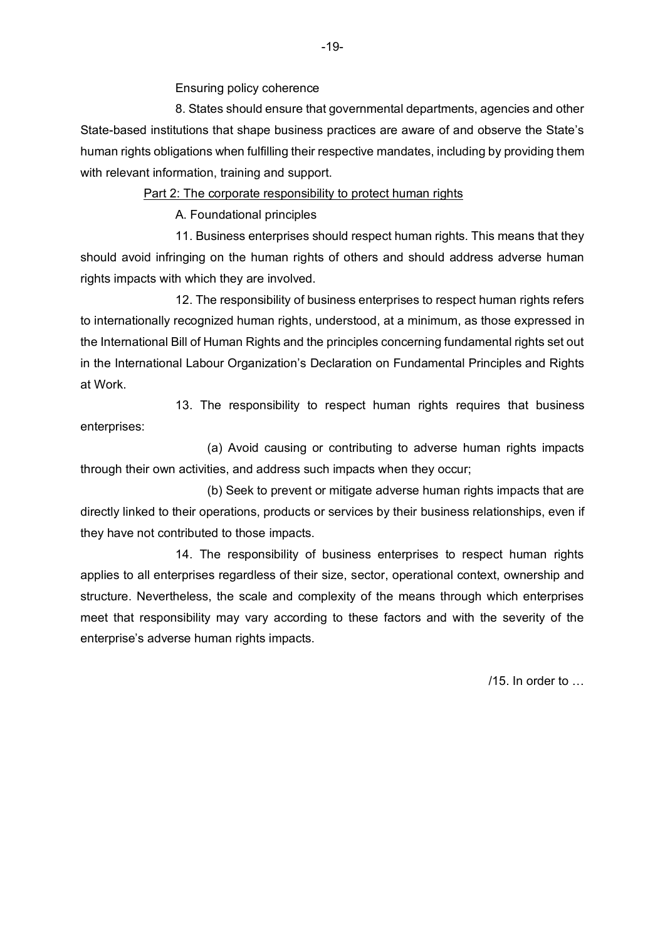Ensuring policy coherence

8. States should ensure that governmental departments, agencies and other State-based institutions that shape business practices are aware of and observe the State's human rights obligations when fulfilling their respective mandates, including by providing them with relevant information, training and support.

Part 2: The corporate responsibility to protect human rights

A. Foundational principles

11. Business enterprises should respect human rights. This means that they should avoid infringing on the human rights of others and should address adverse human rights impacts with which they are involved.

12. The responsibility of business enterprises to respect human rights refers to internationally recognized human rights, understood, at a minimum, as those expressed in the International Bill of Human Rights and the principles concerning fundamental rights set out in the International Labour Organization's Declaration on Fundamental Principles and Rights at Work.

13. The responsibility to respect human rights requires that business enterprises:

(a) Avoid causing or contributing to adverse human rights impacts through their own activities, and address such impacts when they occur;

(b) Seek to prevent or mitigate adverse human rights impacts that are directly linked to their operations, products or services by their business relationships, even if they have not contributed to those impacts.

14. The responsibility of business enterprises to respect human rights applies to all enterprises regardless of their size, sector, operational context, ownership and structure. Nevertheless, the scale and complexity of the means through which enterprises meet that responsibility may vary according to these factors and with the severity of the enterprise's adverse human rights impacts.

 $/15$  In order to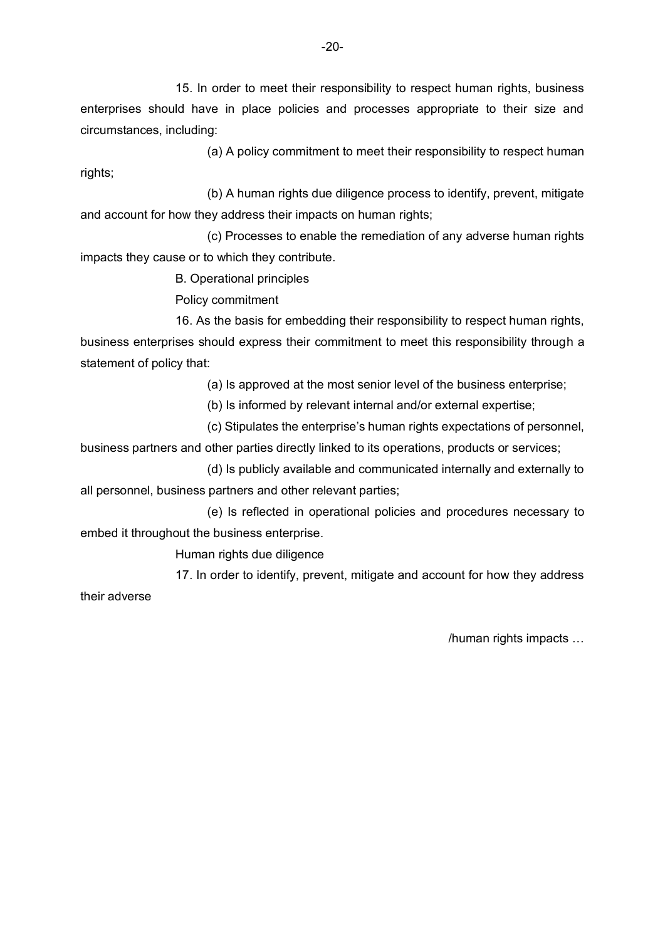15. In order to meet their responsibility to respect human rights, business enterprises should have in place policies and processes appropriate to their size and circumstances, including:

(a) A policy commitment to meet their responsibility to respect human rights;

(b) A human rights due diligence process to identify, prevent, mitigate and account for how they address their impacts on human rights;

(c) Processes to enable the remediation of any adverse human rights impacts they cause or to which they contribute.

B. Operational principles

Policy commitment

16. As the basis for embedding their responsibility to respect human rights, business enterprises should express their commitment to meet this responsibility through a statement of policy that:

(a) Is approved at the most senior level of the business enterprise;

(b) Is informed by relevant internal and/or external expertise;

(c) Stipulates the enterprise's human rights expectations of personnel,

business partners and other parties directly linked to its operations, products or services;

(d) Is publicly available and communicated internally and externally to all personnel, business partners and other relevant parties;

(e) Is reflected in operational policies and procedures necessary to embed it throughout the business enterprise.

Human rights due diligence

17. In order to identify, prevent, mitigate and account for how they address their adverse

/human rights impacts …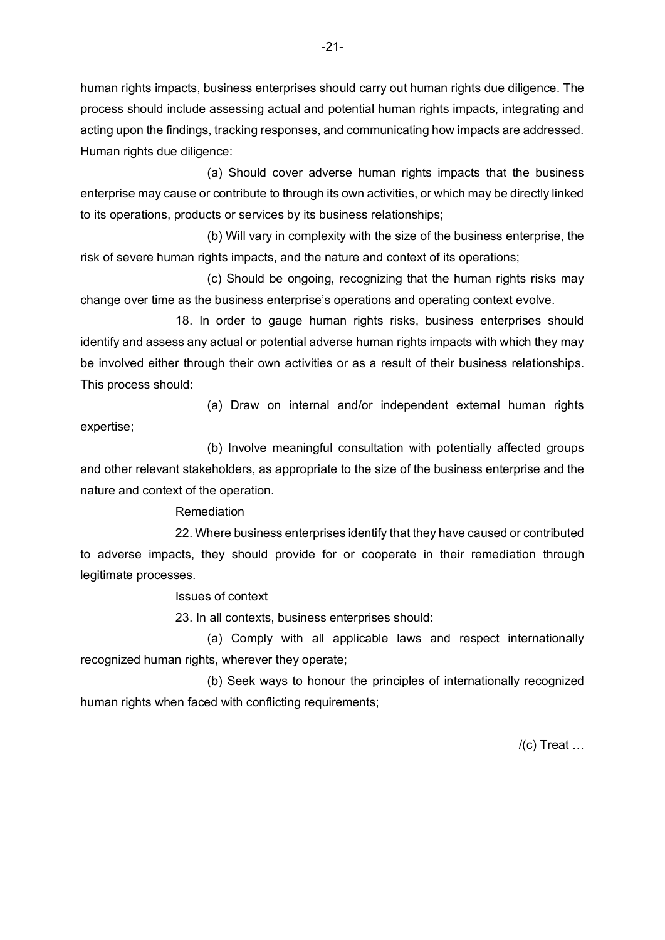human rights impacts, business enterprises should carry out human rights due diligence. The process should include assessing actual and potential human rights impacts, integrating and acting upon the findings, tracking responses, and communicating how impacts are addressed. Human rights due diligence:

(a) Should cover adverse human rights impacts that the business enterprise may cause or contribute to through its own activities, or which may be directly linked to its operations, products or services by its business relationships;

(b) Will vary in complexity with the size of the business enterprise, the risk of severe human rights impacts, and the nature and context of its operations;

(c) Should be ongoing, recognizing that the human rights risks may change over time as the business enterprise's operations and operating context evolve.

18. In order to gauge human rights risks, business enterprises should identify and assess any actual or potential adverse human rights impacts with which they may be involved either through their own activities or as a result of their business relationships. This process should:

(a) Draw on internal and/or independent external human rights expertise;

(b) Involve meaningful consultation with potentially affected groups and other relevant stakeholders, as appropriate to the size of the business enterprise and the nature and context of the operation.

Remediation

22. Where business enterprises identify that they have caused or contributed to adverse impacts, they should provide for or cooperate in their remediation through legitimate processes.

Issues of context

23. In all contexts, business enterprises should:

(a) Comply with all applicable laws and respect internationally recognized human rights, wherever they operate;

(b) Seek ways to honour the principles of internationally recognized human rights when faced with conflicting requirements;

 $/(c)$  Treat  $\dots$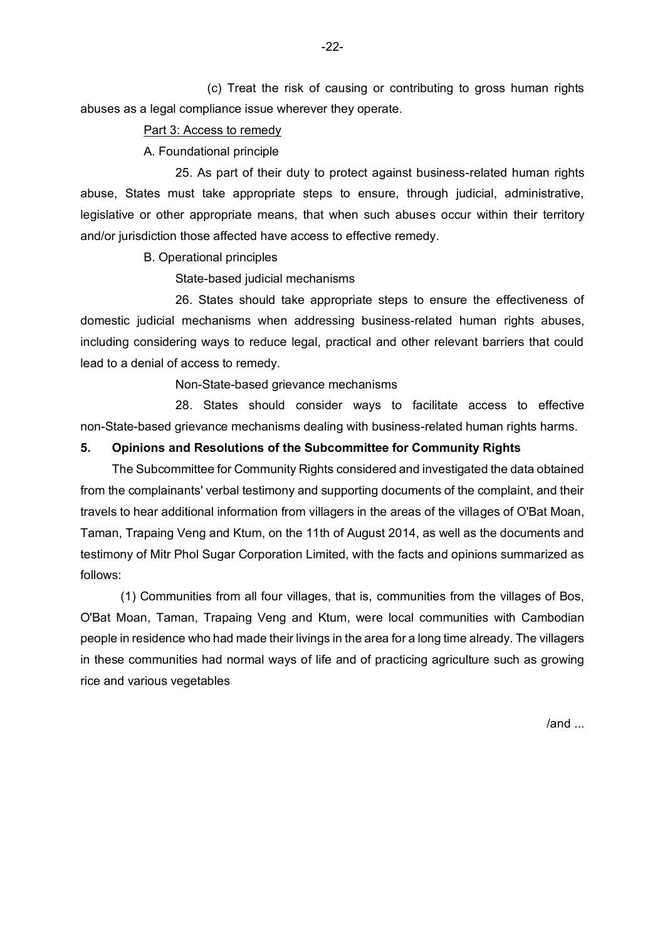(c) Treat the risk of causing or contributing to gross human rights abuses as a legal compliance issue wherever they operate.

### Part 3: Access to remedy

A. Foundational principle

25. As part of their duty to protect against business-related human rights abuse, States must take appropriate steps to ensure, through judicial, administrative, legislative or other appropriate means, that when such abuses occur within their territory and/or jurisdiction those affected have access to effective remedy.

B. Operational principles

State-based judicial mechanisms

26. States should take appropriate steps to ensure the effectiveness of domestic judicial mechanisms when addressing business-related human rights abuses, including considering ways to reduce legal, practical and other relevant barriers that could lead to a denial of access to remedy.

Non-State-based grievance mechanisms

28. States should consider ways to facilitate access to effective non-State-based grievance mechanisms dealing with business-related human rights harms.

## **5. Opinions and Resolutions of the Subcommittee for Community Rights**

The Subcommittee for Community Rights considered and investigated the data obtained from the complainants' verbal testimony and supporting documents of the complaint, and their travels to hear additional information from villagers in the areas of the villages of O'Bat Moan, Taman, Trapaing Veng and Ktum, on the 11th of August 2014, as well as the documents and testimony of Mitr Phol Sugar Corporation Limited, with the facts and opinions summarized as follows:

(1) Communities from all four villages, that is, communities from the villages of Bos, O'Bat Moan, Taman, Trapaing Veng and Ktum, were local communities with Cambodian people in residence who had made their livings in the area for a long time already. The villagers in these communities had normal ways of life and of practicing agriculture such as growing rice and various vegetables

/and ...

-22-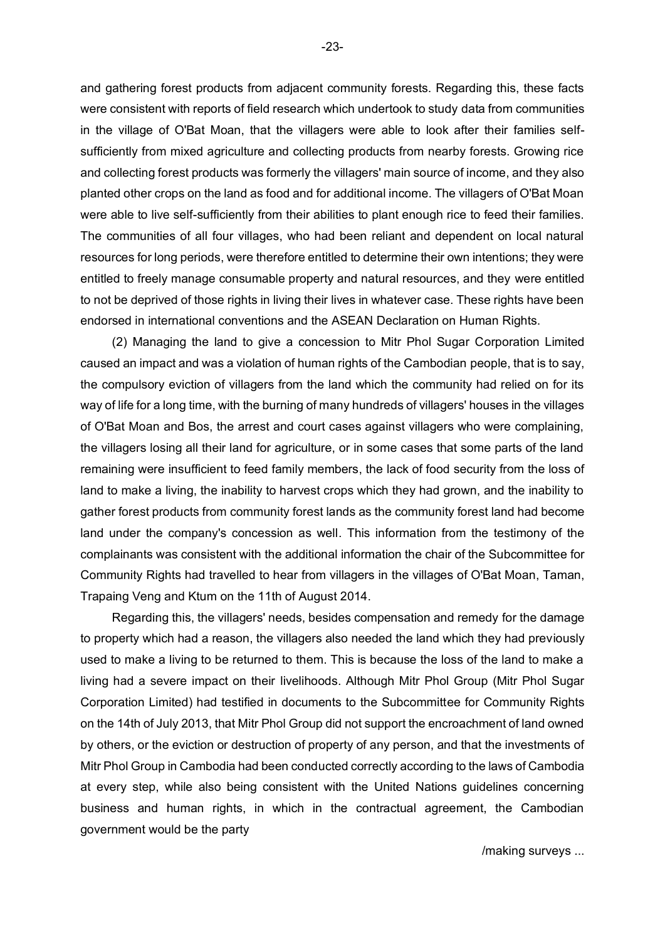and gathering forest products from adjacent community forests. Regarding this, these facts were consistent with reports of field research which undertook to study data from communities in the village of O'Bat Moan, that the villagers were able to look after their families selfsufficiently from mixed agriculture and collecting products from nearby forests. Growing rice and collecting forest products was formerly the villagers' main source of income, and they also planted other crops on the land as food and for additional income. The villagers of O'Bat Moan were able to live self-sufficiently from their abilities to plant enough rice to feed their families. The communities of all four villages, who had been reliant and dependent on local natural resources for long periods, were therefore entitled to determine their own intentions; they were entitled to freely manage consumable property and natural resources, and they were entitled to not be deprived of those rights in living their lives in whatever case. These rights have been endorsed in international conventions and the ASEAN Declaration on Human Rights.

(2) Managing the land to give a concession to Mitr Phol Sugar Corporation Limited caused an impact and was a violation of human rights of the Cambodian people, that is to say, the compulsory eviction of villagers from the land which the community had relied on for its way of life for a long time, with the burning of many hundreds of villagers' houses in the villages of O'Bat Moan and Bos, the arrest and court cases against villagers who were complaining, the villagers losing all their land for agriculture, or in some cases that some parts of the land remaining were insufficient to feed family members, the lack of food security from the loss of land to make a living, the inability to harvest crops which they had grown, and the inability to gather forest products from community forest lands as the community forest land had become land under the company's concession as well. This information from the testimony of the complainants was consistent with the additional information the chair of the Subcommittee for Community Rights had travelled to hear from villagers in the villages of O'Bat Moan, Taman, Trapaing Veng and Ktum on the 11th of August 2014.

Regarding this, the villagers' needs, besides compensation and remedy for the damage to property which had a reason, the villagers also needed the land which they had previously used to make a living to be returned to them. This is because the loss of the land to make a living had a severe impact on their livelihoods. Although Mitr Phol Group (Mitr Phol Sugar Corporation Limited) had testified in documents to the Subcommittee for Community Rights on the 14th of July 2013, that Mitr Phol Group did not support the encroachment of land owned by others, or the eviction or destruction of property of any person, and that the investments of Mitr Phol Group in Cambodia had been conducted correctly according to the laws of Cambodia at every step, while also being consistent with the United Nations guidelines concerning business and human rights, in which in the contractual agreement, the Cambodian government would be the party

/making surveys ...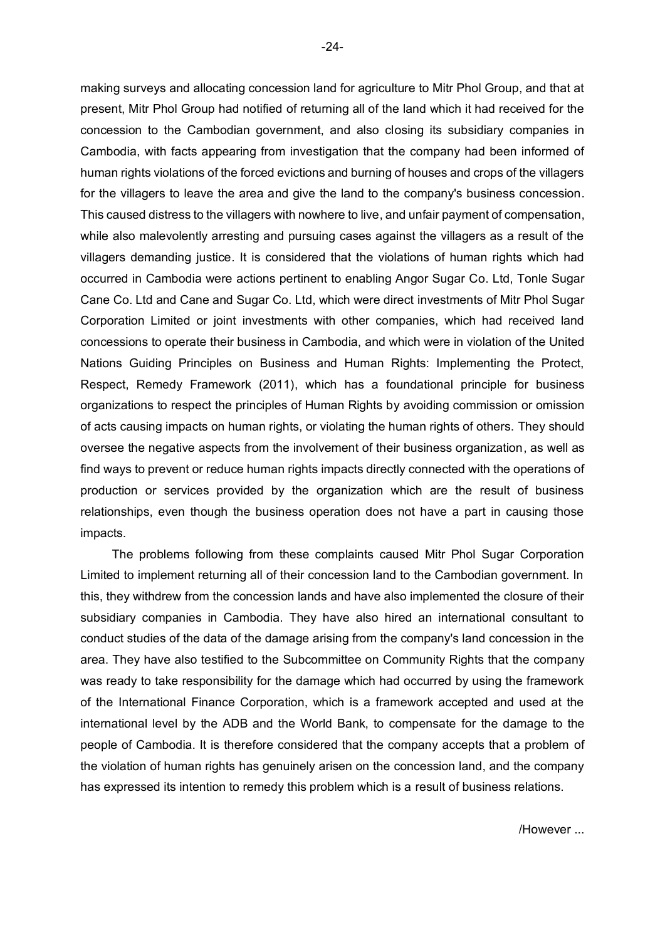making surveys and allocating concession land for agriculture to Mitr Phol Group, and that at present, Mitr Phol Group had notified of returning all of the land which it had received for the concession to the Cambodian government, and also closing its subsidiary companies in Cambodia, with facts appearing from investigation that the company had been informed of human rights violations of the forced evictions and burning of houses and crops of the villagers for the villagers to leave the area and give the land to the company's business concession. This caused distress to the villagers with nowhere to live, and unfair payment of compensation, while also malevolently arresting and pursuing cases against the villagers as a result of the villagers demanding justice. It is considered that the violations of human rights which had occurred in Cambodia were actions pertinent to enabling Angor Sugar Co. Ltd, Tonle Sugar Cane Co. Ltd and Cane and Sugar Co. Ltd, which were direct investments of Mitr Phol Sugar Corporation Limited or joint investments with other companies, which had received land concessions to operate their business in Cambodia, and which were in violation of the United Nations Guiding Principles on Business and Human Rights: Implementing the Protect, Respect, Remedy Framework (2011), which has a foundational principle for business organizations to respect the principles of Human Rights by avoiding commission or omission of acts causing impacts on human rights, or violating the human rights of others. They should oversee the negative aspects from the involvement of their business organization, as well as find ways to prevent or reduce human rights impacts directly connected with the operations of production or services provided by the organization which are the result of business relationships, even though the business operation does not have a part in causing those impacts.

The problems following from these complaints caused Mitr Phol Sugar Corporation Limited to implement returning all of their concession land to the Cambodian government. In this, they withdrew from the concession lands and have also implemented the closure of their subsidiary companies in Cambodia. They have also hired an international consultant to conduct studies of the data of the damage arising from the company's land concession in the area. They have also testified to the Subcommittee on Community Rights that the company was ready to take responsibility for the damage which had occurred by using the framework of the International Finance Corporation, which is a framework accepted and used at the international level by the ADB and the World Bank, to compensate for the damage to the people of Cambodia. It is therefore considered that the company accepts that a problem of the violation of human rights has genuinely arisen on the concession land, and the company has expressed its intention to remedy this problem which is a result of business relations.

-24-

/However ...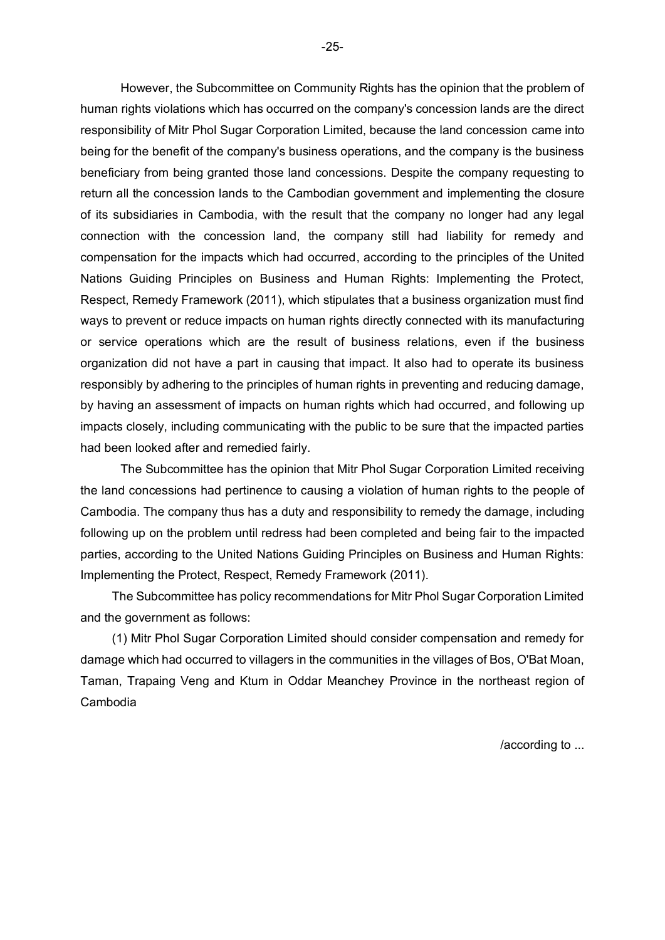However, the Subcommittee on Community Rights has the opinion that the problem of human rights violations which has occurred on the company's concession lands are the direct responsibility of Mitr Phol Sugar Corporation Limited, because the land concession came into being for the benefit of the company's business operations, and the company is the business beneficiary from being granted those land concessions. Despite the company requesting to return all the concession lands to the Cambodian government and implementing the closure of its subsidiaries in Cambodia, with the result that the company no longer had any legal connection with the concession land, the company still had liability for remedy and compensation for the impacts which had occurred, according to the principles of the United Nations Guiding Principles on Business and Human Rights: Implementing the Protect, Respect, Remedy Framework (2011), which stipulates that a business organization must find ways to prevent or reduce impacts on human rights directly connected with its manufacturing or service operations which are the result of business relations, even if the business organization did not have a part in causing that impact. It also had to operate its business responsibly by adhering to the principles of human rights in preventing and reducing damage, by having an assessment of impacts on human rights which had occurred, and following up impacts closely, including communicating with the public to be sure that the impacted parties had been looked after and remedied fairly.

The Subcommittee has the opinion that Mitr Phol Sugar Corporation Limited receiving the land concessions had pertinence to causing a violation of human rights to the people of Cambodia. The company thus has a duty and responsibility to remedy the damage, including following up on the problem until redress had been completed and being fair to the impacted parties, according to the United Nations Guiding Principles on Business and Human Rights: Implementing the Protect, Respect, Remedy Framework (2011).

The Subcommittee has policy recommendations for Mitr Phol Sugar Corporation Limited and the government as follows:

(1) Mitr Phol Sugar Corporation Limited should consider compensation and remedy for damage which had occurred to villagers in the communities in the villages of Bos, O'Bat Moan, Taman, Trapaing Veng and Ktum in Oddar Meanchey Province in the northeast region of Cambodia

/according to ...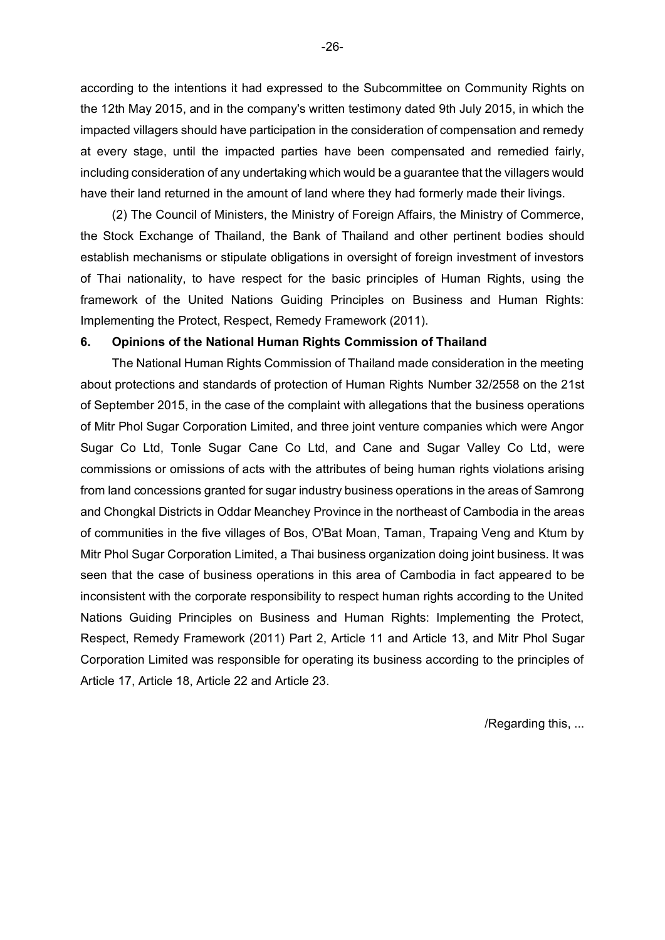according to the intentions it had expressed to the Subcommittee on Community Rights on the 12th May 2015, and in the company's written testimony dated 9th July 2015, in which the impacted villagers should have participation in the consideration of compensation and remedy at every stage, until the impacted parties have been compensated and remedied fairly, including consideration of any undertaking which would be a guarantee that the villagers would have their land returned in the amount of land where they had formerly made their livings.

(2) The Council of Ministers, the Ministry of Foreign Affairs, the Ministry of Commerce, the Stock Exchange of Thailand, the Bank of Thailand and other pertinent bodies should establish mechanisms or stipulate obligations in oversight of foreign investment of investors of Thai nationality, to have respect for the basic principles of Human Rights, using the framework of the United Nations Guiding Principles on Business and Human Rights: Implementing the Protect, Respect, Remedy Framework (2011).

### **6. Opinions of the National Human Rights Commission of Thailand**

The National Human Rights Commission of Thailand made consideration in the meeting about protections and standards of protection of Human Rights Number 32/2558 on the 21st of September 2015, in the case of the complaint with allegations that the business operations of Mitr Phol Sugar Corporation Limited, and three joint venture companies which were Angor Sugar Co Ltd, Tonle Sugar Cane Co Ltd, and Cane and Sugar Valley Co Ltd, were commissions or omissions of acts with the attributes of being human rights violations arising from land concessions granted for sugar industry business operations in the areas of Samrong and Chongkal Districts in Oddar Meanchey Province in the northeast of Cambodia in the areas of communities in the five villages of Bos, O'Bat Moan, Taman, Trapaing Veng and Ktum by Mitr Phol Sugar Corporation Limited, a Thai business organization doing joint business. It was seen that the case of business operations in this area of Cambodia in fact appeared to be inconsistent with the corporate responsibility to respect human rights according to the United Nations Guiding Principles on Business and Human Rights: Implementing the Protect, Respect, Remedy Framework (2011) Part 2, Article 11 and Article 13, and Mitr Phol Sugar Corporation Limited was responsible for operating its business according to the principles of Article 17, Article 18, Article 22 and Article 23.

/Regarding this, ...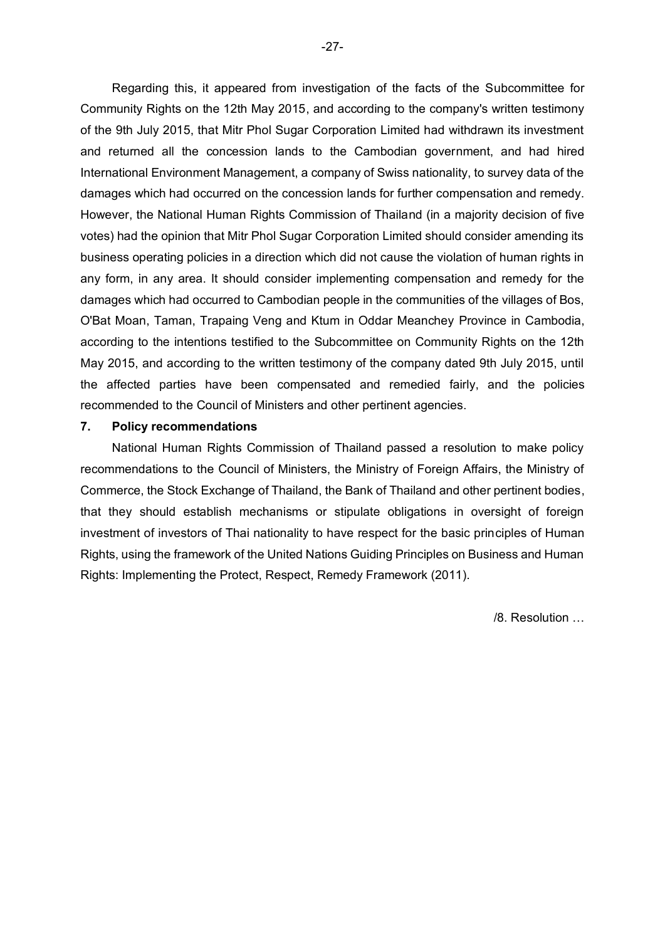Regarding this, it appeared from investigation of the facts of the Subcommittee for Community Rights on the 12th May 2015, and according to the company's written testimony of the 9th July 2015, that Mitr Phol Sugar Corporation Limited had withdrawn its investment and returned all the concession lands to the Cambodian government, and had hired International Environment Management, a company of Swiss nationality, to survey data of the damages which had occurred on the concession lands for further compensation and remedy. However, the National Human Rights Commission of Thailand (in a majority decision of five votes) had the opinion that Mitr Phol Sugar Corporation Limited should consider amending its business operating policies in a direction which did not cause the violation of human rights in any form, in any area. It should consider implementing compensation and remedy for the damages which had occurred to Cambodian people in the communities of the villages of Bos, O'Bat Moan, Taman, Trapaing Veng and Ktum in Oddar Meanchey Province in Cambodia, according to the intentions testified to the Subcommittee on Community Rights on the 12th May 2015, and according to the written testimony of the company dated 9th July 2015, until the affected parties have been compensated and remedied fairly, and the policies recommended to the Council of Ministers and other pertinent agencies.

### **7. Policy recommendations**

National Human Rights Commission of Thailand passed a resolution to make policy recommendations to the Council of Ministers, the Ministry of Foreign Affairs, the Ministry of Commerce, the Stock Exchange of Thailand, the Bank of Thailand and other pertinent bodies, that they should establish mechanisms or stipulate obligations in oversight of foreign investment of investors of Thai nationality to have respect for the basic principles of Human Rights, using the framework of the United Nations Guiding Principles on Business and Human Rights: Implementing the Protect, Respect, Remedy Framework (2011).

/8. Resolution …